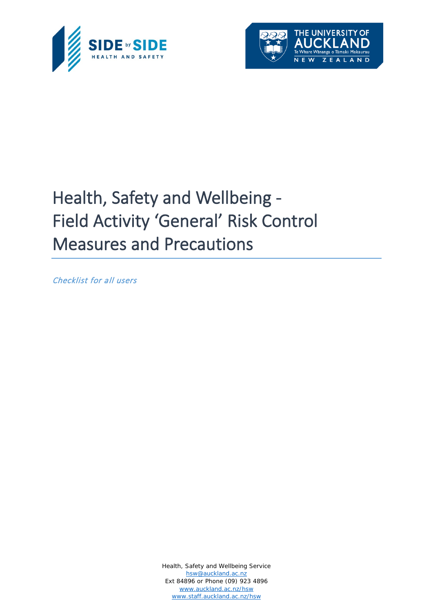



## Health, Safety and Wellbeing - Field Activity 'General' Risk Control Measures and Precautions

Checklist for all users

Health, Safety and Wellbeing Service [hsw@auckland.ac.nz](mailto:hsw@auckland.ac.nz) Ext 84896 or Phone (09) 923 4896 [www.auckland.ac.nz/hsw](http://www.auckland.ac.nz/hsw) [www.staff.auckland.ac.nz/hsw](http://www.staff.auckland.ac.nz/hsw)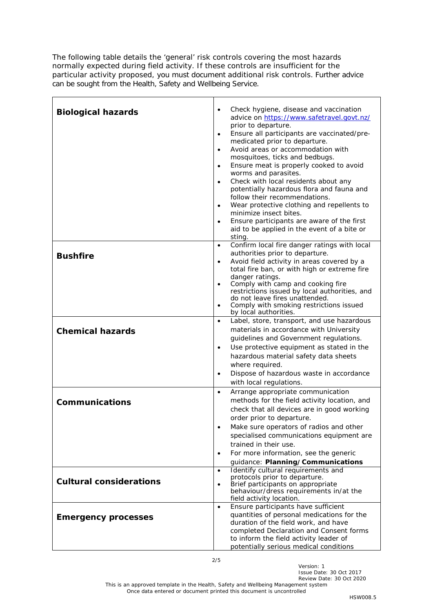The following table details the 'general' risk controls covering the most hazards normally expected during field activity. If these controls are insufficient for the particular activity proposed, you must document additional risk controls. Further advice can be sought from the Health, Safety and Wellbeing Service.

| <b>Biological hazards</b>      | Check hygiene, disease and vaccination<br>$\bullet$<br>advice on https://www.safetravel.govt.nz/<br>prior to departure.<br>Ensure all participants are vaccinated/pre-<br>$\bullet$<br>medicated prior to departure.<br>Avoid areas or accommodation with<br>$\bullet$<br>mosquitoes, ticks and bedbugs.<br>Ensure meat is properly cooked to avoid<br>٠<br>worms and parasites.<br>Check with local residents about any<br>$\bullet$<br>potentially hazardous flora and fauna and<br>follow their recommendations.<br>Wear protective clothing and repellents to<br>$\bullet$<br>minimize insect bites.<br>Ensure participants are aware of the first<br>aid to be applied in the event of a bite or<br>sting. |
|--------------------------------|-----------------------------------------------------------------------------------------------------------------------------------------------------------------------------------------------------------------------------------------------------------------------------------------------------------------------------------------------------------------------------------------------------------------------------------------------------------------------------------------------------------------------------------------------------------------------------------------------------------------------------------------------------------------------------------------------------------------|
| <b>Bushfire</b>                | Confirm local fire danger ratings with local<br>$\bullet$<br>authorities prior to departure.<br>Avoid field activity in areas covered by a<br>٠<br>total fire ban, or with high or extreme fire<br>danger ratings.<br>Comply with camp and cooking fire<br>restrictions issued by local authorities, and<br>do not leave fires unattended.<br>Comply with smoking restrictions issued<br>٠<br>by local authorities.                                                                                                                                                                                                                                                                                             |
| <b>Chemical hazards</b>        | Label, store, transport, and use hazardous<br>٠<br>materials in accordance with University<br>guidelines and Government regulations.<br>Use protective equipment as stated in the<br>٠<br>hazardous material safety data sheets<br>where required.<br>Dispose of hazardous waste in accordance<br>٠<br>with local regulations.                                                                                                                                                                                                                                                                                                                                                                                  |
| <b>Communications</b>          | Arrange appropriate communication<br>$\bullet$<br>methods for the field activity location, and<br>check that all devices are in good working<br>order prior to departure.<br>Make sure operators of radios and other<br>specialised communications equipment are<br>trained in their use.<br>For more information, see the generic<br>٠<br>guidance: Planning/Communications                                                                                                                                                                                                                                                                                                                                    |
| <b>Cultural considerations</b> | Identify cultural requirements and<br>$\bullet$<br>protocols prior to departure.<br>Brief participants on appropriate<br>behaviour/dress requirements in/at the<br>field activity location.                                                                                                                                                                                                                                                                                                                                                                                                                                                                                                                     |
| <b>Emergency processes</b>     | Ensure participants have sufficient<br>$\bullet$<br>quantities of personal medications for the<br>duration of the field work, and have<br>completed Declaration and Consent forms<br>to inform the field activity leader of<br>potentially serious medical conditions                                                                                                                                                                                                                                                                                                                                                                                                                                           |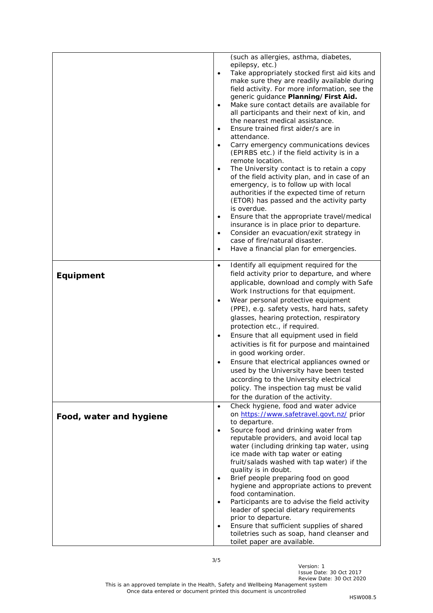|                         | (such as allergies, asthma, diabetes,                                     |
|-------------------------|---------------------------------------------------------------------------|
|                         | epilepsy, etc.)                                                           |
|                         | Take appropriately stocked first aid kits and<br>$\bullet$                |
|                         | make sure they are readily available during                               |
|                         | field activity. For more information, see the                             |
|                         | generic guidance Planning/First Aid.                                      |
|                         | Make sure contact details are available for<br>$\bullet$                  |
|                         | all participants and their next of kin, and                               |
|                         | the nearest medical assistance.                                           |
|                         | Ensure trained first aider/s are in<br>$\bullet$                          |
|                         | attendance.                                                               |
|                         | Carry emergency communications devices<br>$\bullet$                       |
|                         | (EPIRBS etc.) if the field activity is in a                               |
|                         | remote location.                                                          |
|                         | The University contact is to retain a copy<br>$\bullet$                   |
|                         | of the field activity plan, and in case of an                             |
|                         | emergency, is to follow up with local                                     |
|                         | authorities if the expected time of return                                |
|                         | (ETOR) has passed and the activity party                                  |
|                         | is overdue.                                                               |
|                         | Ensure that the appropriate travel/medical<br>$\bullet$                   |
|                         | insurance is in place prior to departure.                                 |
|                         | Consider an evacuation/exit strategy in<br>$\bullet$                      |
|                         | case of fire/natural disaster.                                            |
|                         | Have a financial plan for emergencies.<br>$\bullet$                       |
|                         | Identify all equipment required for the                                   |
|                         | $\bullet$                                                                 |
| <b>Equipment</b>        | field activity prior to departure, and where                              |
|                         | applicable, download and comply with Safe                                 |
|                         | Work Instructions for that equipment.                                     |
|                         | Wear personal protective equipment<br>$\bullet$                           |
|                         | (PPE), e.g. safety vests, hard hats, safety                               |
|                         | glasses, hearing protection, respiratory                                  |
|                         | protection etc., if required.                                             |
|                         | Ensure that all equipment used in field<br>$\bullet$                      |
|                         | activities is fit for purpose and maintained                              |
|                         | in good working order.                                                    |
|                         | Ensure that electrical appliances owned or                                |
|                         | used by the University have been tested                                   |
|                         |                                                                           |
|                         | according to the University electrical                                    |
|                         | policy. The inspection tag must be valid                                  |
|                         | for the duration of the activity.                                         |
|                         | Check hygiene, food and water advice<br>$\bullet$                         |
| Food, water and hygiene | on https://www.safetravel.govt.nz/ prior                                  |
|                         | to departure.                                                             |
|                         | Source food and drinking water from<br>$\bullet$                          |
|                         | reputable providers, and avoid local tap                                  |
|                         | water (including drinking tap water, using                                |
|                         | ice made with tap water or eating                                         |
|                         | fruit/salads washed with tap water) if the                                |
|                         | quality is in doubt.                                                      |
|                         | Brief people preparing food on good                                       |
|                         | hygiene and appropriate actions to prevent                                |
|                         | food contamination.                                                       |
|                         | Participants are to advise the field activity                             |
|                         | leader of special dietary requirements                                    |
|                         | prior to departure.                                                       |
|                         | Ensure that sufficient supplies of shared                                 |
|                         | toiletries such as soap, hand cleanser and<br>toilet paper are available. |
|                         |                                                                           |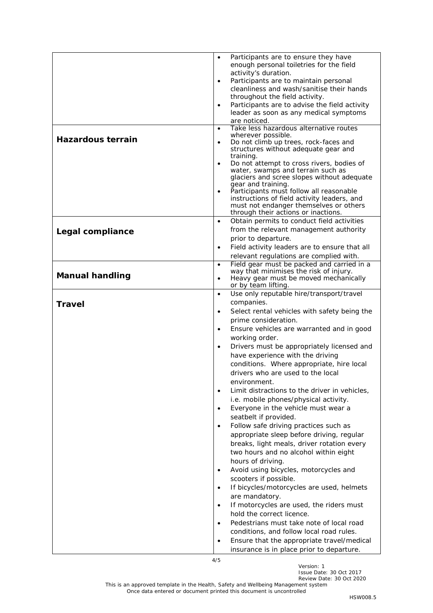|                          | Participants are to ensure they have<br>$\bullet$                                              |
|--------------------------|------------------------------------------------------------------------------------------------|
|                          | enough personal toiletries for the field                                                       |
|                          | activity's duration.<br>Participants are to maintain personal<br>$\bullet$                     |
|                          | cleanliness and wash/sanitise their hands                                                      |
|                          | throughout the field activity.                                                                 |
|                          | Participants are to advise the field activity<br>$\bullet$                                     |
|                          | leader as soon as any medical symptoms                                                         |
|                          | are noticed.<br>Take less hazardous alternative routes<br>$\bullet$                            |
|                          | wherever possible.                                                                             |
| <b>Hazardous terrain</b> | Do not climb up trees, rock-faces and<br>$\bullet$                                             |
|                          | structures without adequate gear and                                                           |
|                          | training.<br>Do not attempt to cross rivers, bodies of<br>$\bullet$                            |
|                          | water, swamps and terrain such as                                                              |
|                          | glaciers and scree slopes without adequate                                                     |
|                          | gear and training.<br>Participants must follow all reasonable<br>$\bullet$                     |
|                          | instructions of field activity leaders, and                                                    |
|                          | must not endanger themselves or others                                                         |
|                          | through their actions or inactions.<br>Obtain permits to conduct field activities<br>$\bullet$ |
|                          | from the relevant management authority                                                         |
| Legal compliance         | prior to departure.                                                                            |
|                          | Field activity leaders are to ensure that all<br>$\bullet$                                     |
|                          | relevant regulations are complied with.                                                        |
|                          | Field gear must be packed and carried in a<br>$\bullet$                                        |
| <b>Manual handling</b>   | way that minimises the risk of injury.<br>Heavy gear must be moved mechanically<br>$\bullet$   |
|                          | or by team lifting.                                                                            |
|                          | Use only reputable hire/transport/travel<br>$\bullet$                                          |
| <b>Travel</b>            | companies.                                                                                     |
|                          | Select rental vehicles with safety being the<br>$\bullet$                                      |
|                          | prime consideration.                                                                           |
|                          | Ensure vehicles are warranted and in good<br>$\bullet$                                         |
|                          | working order.                                                                                 |
|                          | Drivers must be appropriately licensed and<br>$\bullet$<br>have experience with the driving    |
|                          | conditions. Where appropriate, hire local                                                      |
|                          | drivers who are used to the local                                                              |
|                          | environment.                                                                                   |
|                          | Limit distractions to the driver in vehicles,<br>$\bullet$                                     |
|                          | i.e. mobile phones/physical activity.                                                          |
|                          | Everyone in the vehicle must wear a<br>$\bullet$                                               |
|                          | seatbelt if provided.                                                                          |
|                          | Follow safe driving practices such as<br>$\bullet$                                             |
|                          | appropriate sleep before driving, regular                                                      |
|                          | breaks, light meals, driver rotation every                                                     |
|                          | two hours and no alcohol within eight                                                          |
|                          | hours of driving.                                                                              |
|                          | Avoid using bicycles, motorcycles and<br>$\bullet$                                             |
|                          | scooters if possible.<br>If bicycles/motorcycles are used, helmets<br>$\bullet$                |
|                          | are mandatory.                                                                                 |
|                          | If motorcycles are used, the riders must<br>$\bullet$                                          |
|                          | hold the correct licence.                                                                      |
|                          | Pedestrians must take note of local road<br>$\bullet$                                          |
|                          | conditions, and follow local road rules.                                                       |
|                          | Ensure that the appropriate travel/medical<br>$\bullet$                                        |
|                          | insurance is in place prior to departure.                                                      |